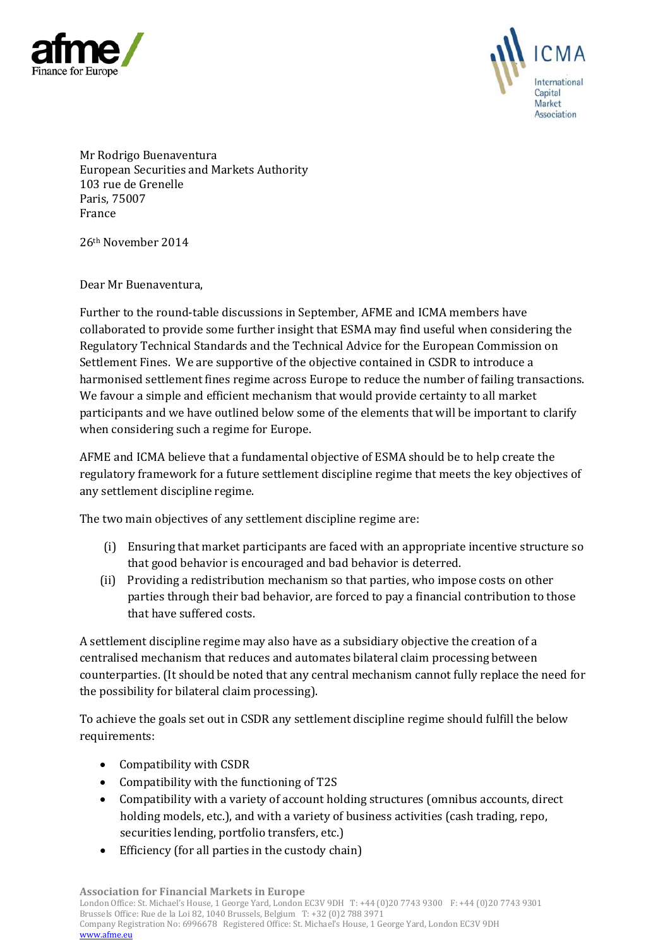



Mr Rodrigo Buenaventura European Securities and Markets Authority 103 rue de Grenelle Paris, 75007 France

26th November 2014

Dear Mr Buenaventura,

Further to the round-table discussions in September, AFME and ICMA members have collaborated to provide some further insight that ESMA may find useful when considering the Regulatory Technical Standards and the Technical Advice for the European Commission on Settlement Fines. We are supportive of the objective contained in CSDR to introduce a harmonised settlement fines regime across Europe to reduce the number of failing transactions. We favour a simple and efficient mechanism that would provide certainty to all market participants and we have outlined below some of the elements that will be important to clarify when considering such a regime for Europe.

AFME and ICMA believe that a fundamental objective of ESMA should be to help create the regulatory framework for a future settlement discipline regime that meets the key objectives of any settlement discipline regime.

The two main objectives of any settlement discipline regime are:

- (i) Ensuring that market participants are faced with an appropriate incentive structure so that good behavior is encouraged and bad behavior is deterred.
- (ii) Providing a redistribution mechanism so that parties, who impose costs on other parties through their bad behavior, are forced to pay a financial contribution to those that have suffered costs.

A settlement discipline regime may also have as a subsidiary objective the creation of a centralised mechanism that reduces and automates bilateral claim processing between counterparties. (It should be noted that any central mechanism cannot fully replace the need for the possibility for bilateral claim processing).

To achieve the goals set out in CSDR any settlement discipline regime should fulfill the below requirements:

- Compatibility with CSDR
- Compatibility with the functioning of T2S
- Compatibility with a variety of account holding structures (omnibus accounts, direct holding models, etc.), and with a variety of business activities (cash trading, repo, securities lending, portfolio transfers, etc.)
- Efficiency (for all parties in the custody chain)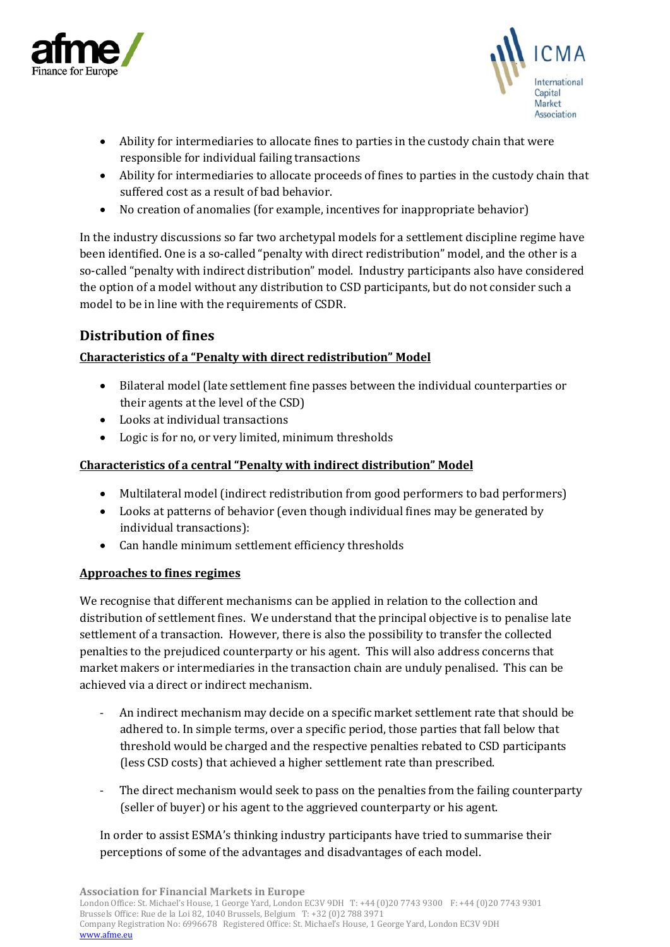



- Ability for intermediaries to allocate fines to parties in the custody chain that were responsible for individual failing transactions
- Ability for intermediaries to allocate proceeds of fines to parties in the custody chain that suffered cost as a result of bad behavior.
- No creation of anomalies (for example, incentives for inappropriate behavior)

In the industry discussions so far two archetypal models for a settlement discipline regime have been identified. One is a so-called "penalty with direct redistribution" model, and the other is a so-called "penalty with indirect distribution" model. Industry participants also have considered the option of a model without any distribution to CSD participants, but do not consider such a model to be in line with the requirements of CSDR.

# **Distribution of fines**

### **Characteristics of a "Penalty with direct redistribution" Model**

- Bilateral model (late settlement fine passes between the individual counterparties or their agents at the level of the CSD)
- Looks at individual transactions
- Logic is for no, or very limited, minimum thresholds

### **Characteristics of a central "Penalty with indirect distribution" Model**

- Multilateral model (indirect redistribution from good performers to bad performers)
- Looks at patterns of behavior (even though individual fines may be generated by individual transactions):
- Can handle minimum settlement efficiency thresholds

### **Approaches to fines regimes**

We recognise that different mechanisms can be applied in relation to the collection and distribution of settlement fines. We understand that the principal objective is to penalise late settlement of a transaction. However, there is also the possibility to transfer the collected penalties to the prejudiced counterparty or his agent. This will also address concerns that market makers or intermediaries in the transaction chain are unduly penalised. This can be achieved via a direct or indirect mechanism.

- An indirect mechanism may decide on a specific market settlement rate that should be adhered to. In simple terms, over a specific period, those parties that fall below that threshold would be charged and the respective penalties rebated to CSD participants (less CSD costs) that achieved a higher settlement rate than prescribed.
- The direct mechanism would seek to pass on the penalties from the failing counterparty (seller of buyer) or his agent to the aggrieved counterparty or his agent.

In order to assist ESMA's thinking industry participants have tried to summarise their perceptions of some of the advantages and disadvantages of each model.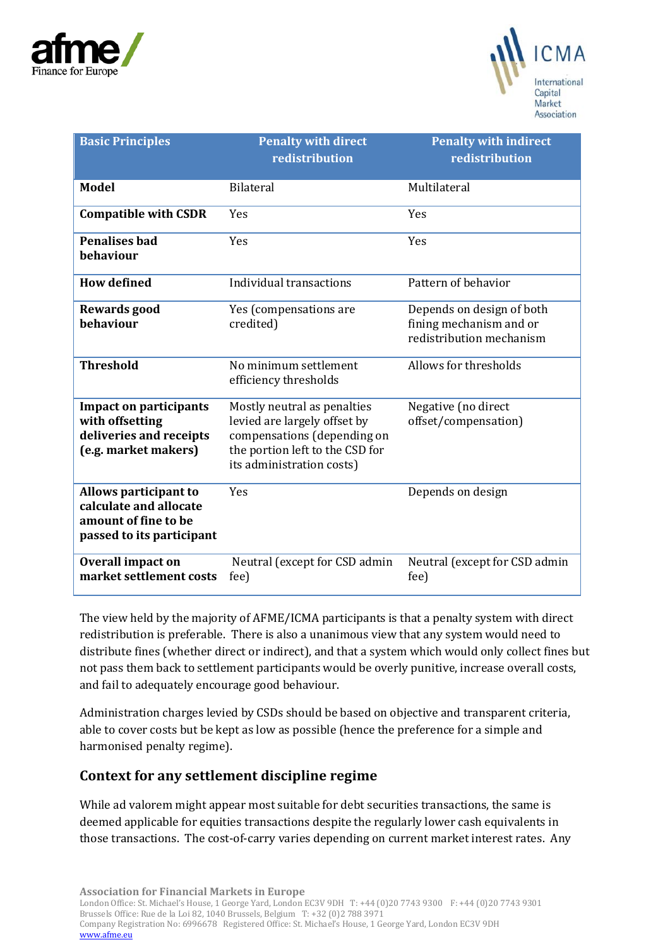



| <b>Basic Principles</b>                                                                              | <b>Penalty with direct</b><br>redistribution                                                                                                               | <b>Penalty with indirect</b><br>redistribution                                   |
|------------------------------------------------------------------------------------------------------|------------------------------------------------------------------------------------------------------------------------------------------------------------|----------------------------------------------------------------------------------|
| <b>Model</b>                                                                                         | <b>Bilateral</b>                                                                                                                                           | Multilateral                                                                     |
| <b>Compatible with CSDR</b>                                                                          | Yes                                                                                                                                                        | Yes                                                                              |
| <b>Penalises bad</b><br>behaviour                                                                    | Yes                                                                                                                                                        | Yes                                                                              |
| <b>How defined</b>                                                                                   | Individual transactions                                                                                                                                    | Pattern of behavior                                                              |
| <b>Rewards good</b><br>behaviour                                                                     | Yes (compensations are<br>credited)                                                                                                                        | Depends on design of both<br>fining mechanism and or<br>redistribution mechanism |
| <b>Threshold</b>                                                                                     | No minimum settlement<br>efficiency thresholds                                                                                                             | Allows for thresholds                                                            |
| <b>Impact on participants</b><br>with offsetting<br>deliveries and receipts<br>(e.g. market makers)  | Mostly neutral as penalties<br>levied are largely offset by<br>compensations (depending on<br>the portion left to the CSD for<br>its administration costs) | Negative (no direct<br>offset/compensation)                                      |
| Allows participant to<br>calculate and allocate<br>amount of fine to be<br>passed to its participant | Yes                                                                                                                                                        | Depends on design                                                                |
| <b>Overall impact on</b><br>market settlement costs                                                  | Neutral (except for CSD admin<br>fee)                                                                                                                      | Neutral (except for CSD admin<br>fee)                                            |

The view held by the majority of AFME/ICMA participants is that a penalty system with direct redistribution is preferable. There is also a unanimous view that any system would need to distribute fines (whether direct or indirect), and that a system which would only collect fines but not pass them back to settlement participants would be overly punitive, increase overall costs, and fail to adequately encourage good behaviour.

Administration charges levied by CSDs should be based on objective and transparent criteria, able to cover costs but be kept as low as possible (hence the preference for a simple and harmonised penalty regime).

## **Context for any settlement discipline regime**

While ad valorem might appear most suitable for debt securities transactions, the same is deemed applicable for equities transactions despite the regularly lower cash equivalents in those transactions. The cost-of-carry varies depending on current market interest rates. Any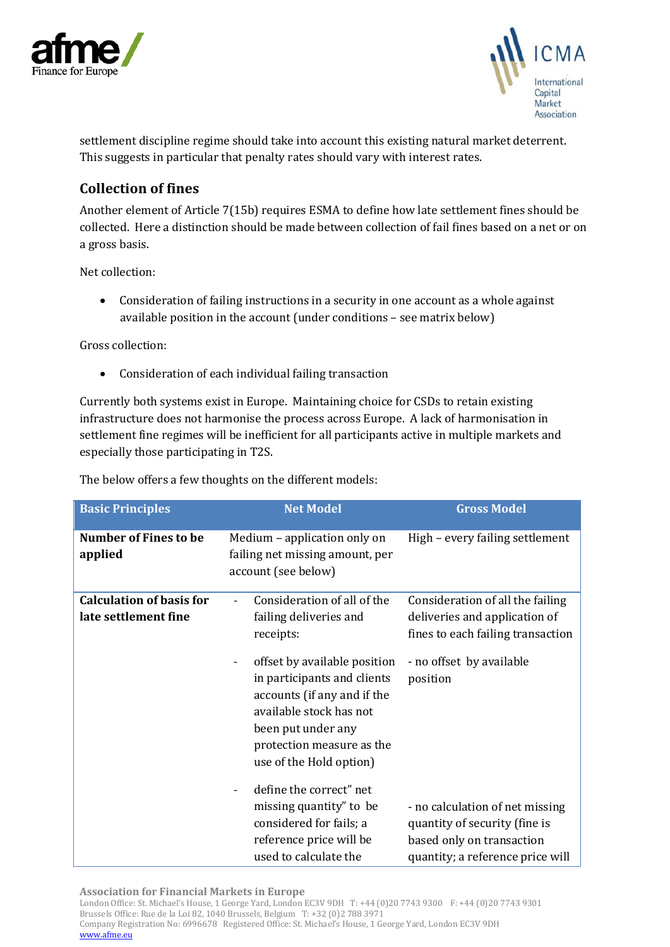



settlement discipline regime should take into account this existing natural market deterrent. This suggests in particular that penalty rates should vary with interest rates.

# **Collection of fines**

Another element of Article 7(15b) requires ESMA to define how late settlement fines should be collected. Here a distinction should be made between collection of fail fines based on a net or on a gross basis.

Net collection:

• Consideration of failing instructions in a security in one account as a whole against available position in the account (under conditions – see matrix below)

Gross collection:

• Consideration of each individual failing transaction

Currently both systems exist in Europe. Maintaining choice for CSDs to retain existing infrastructure does not harmonise the process across Europe. A lack of harmonisation in settlement fine regimes will be inefficient for all participants active in multiple markets and especially those participating in T2S.

The below offers a few thoughts on the different models:

| <b>Basic Principles</b>                                 | <b>Net Model</b>                                                                                                                                                                                    | <b>Gross Model</b>                                                                                                                |
|---------------------------------------------------------|-----------------------------------------------------------------------------------------------------------------------------------------------------------------------------------------------------|-----------------------------------------------------------------------------------------------------------------------------------|
| <b>Number of Fines to be</b><br>applied                 | Medium – application only on<br>failing net missing amount, per<br>account (see below)                                                                                                              | High - every failing settlement                                                                                                   |
| <b>Calculation of basis for</b><br>late settlement fine | Consideration of all of the<br>failing deliveries and<br>receipts:                                                                                                                                  | Consideration of all the failing<br>deliveries and application of<br>fines to each failing transaction                            |
|                                                         | offset by available position<br>in participants and clients<br>accounts (if any and if the<br>available stock has not<br>been put under any<br>protection measure as the<br>use of the Hold option) | - no offset by available<br>position                                                                                              |
|                                                         | define the correct" net<br>missing quantity" to be<br>considered for fails; a<br>reference price will be<br>used to calculate the                                                                   | - no calculation of net missing<br>quantity of security (fine is<br>based only on transaction<br>quantity; a reference price will |

**Association for Financial Markets in Europe**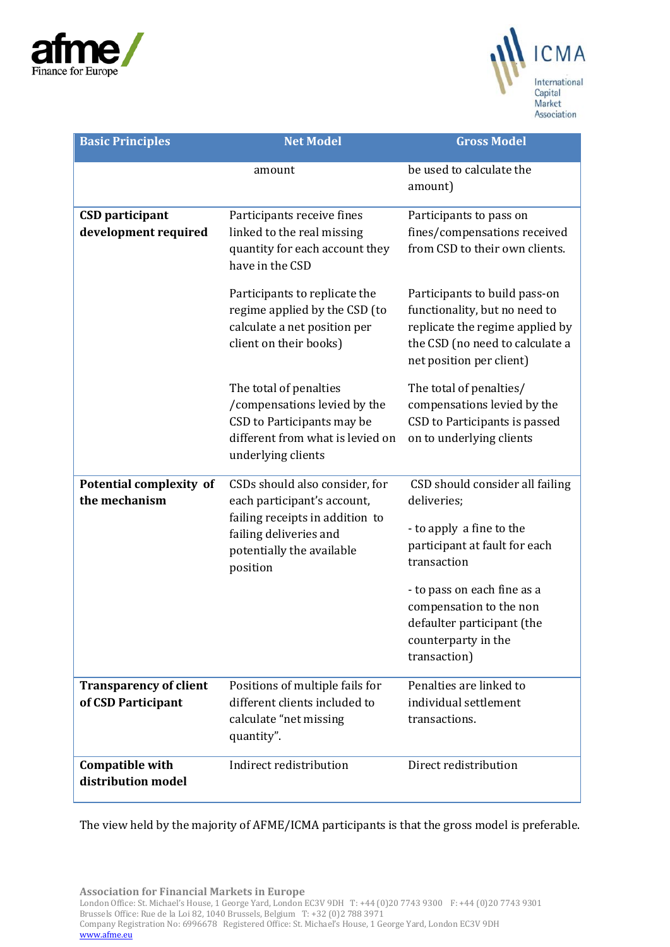



| <b>Basic Principles</b>                        | <b>Net Model</b>                                                                                                                                                    | <b>Gross Model</b>                                                                                                                                               |
|------------------------------------------------|---------------------------------------------------------------------------------------------------------------------------------------------------------------------|------------------------------------------------------------------------------------------------------------------------------------------------------------------|
|                                                | amount                                                                                                                                                              | be used to calculate the<br>amount)                                                                                                                              |
| <b>CSD</b> participant<br>development required | Participants receive fines<br>linked to the real missing                                                                                                            | Participants to pass on<br>fines/compensations received<br>from CSD to their own clients.                                                                        |
|                                                | quantity for each account they<br>have in the CSD                                                                                                                   |                                                                                                                                                                  |
|                                                | Participants to replicate the<br>regime applied by the CSD (to<br>calculate a net position per<br>client on their books)                                            | Participants to build pass-on<br>functionality, but no need to<br>replicate the regime applied by<br>the CSD (no need to calculate a<br>net position per client) |
|                                                | The total of penalties<br>/compensations levied by the<br>CSD to Participants may be<br>different from what is levied on<br>underlying clients                      | The total of penalties/<br>compensations levied by the<br>CSD to Participants is passed<br>on to underlying clients                                              |
| Potential complexity of<br>the mechanism       | CSDs should also consider, for<br>each participant's account,<br>failing receipts in addition to<br>failing deliveries and<br>potentially the available<br>position | CSD should consider all failing<br>deliveries;                                                                                                                   |
|                                                |                                                                                                                                                                     | - to apply a fine to the<br>participant at fault for each<br>transaction                                                                                         |
|                                                |                                                                                                                                                                     | - to pass on each fine as a<br>compensation to the non                                                                                                           |
|                                                |                                                                                                                                                                     | defaulter participant (the                                                                                                                                       |
|                                                |                                                                                                                                                                     | counterparty in the<br>transaction)                                                                                                                              |
| <b>Transparency of client</b>                  | Positions of multiple fails for                                                                                                                                     | Penalties are linked to                                                                                                                                          |
| of CSD Participant                             | different clients included to<br>calculate "net missing<br>quantity".                                                                                               | individual settlement<br>transactions.                                                                                                                           |
| <b>Compatible with</b><br>distribution model   | Indirect redistribution                                                                                                                                             | Direct redistribution                                                                                                                                            |

The view held by the majority of AFME/ICMA participants is that the gross model is preferable.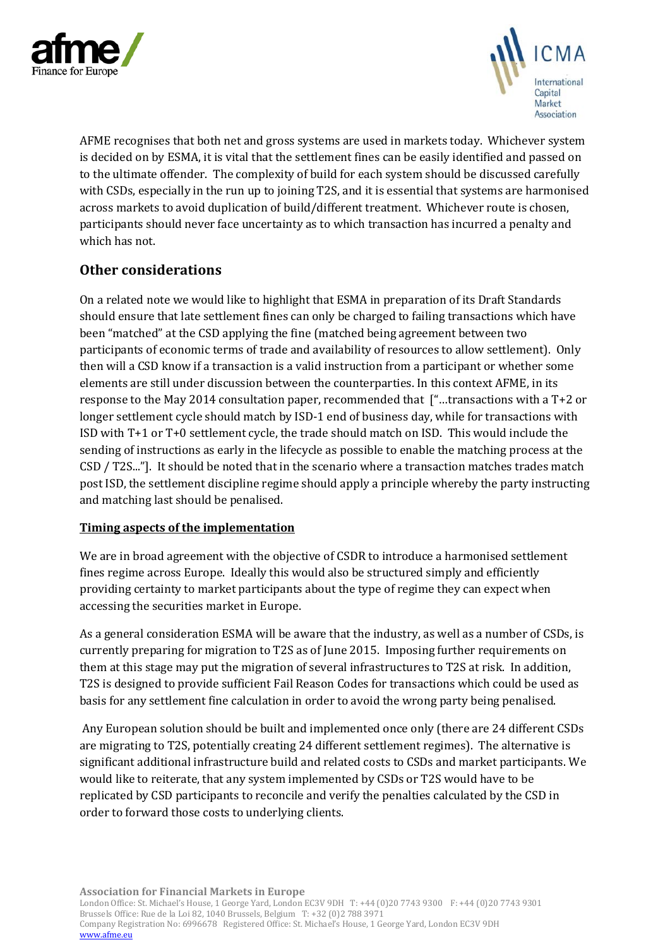



AFME recognises that both net and gross systems are used in markets today. Whichever system is decided on by ESMA, it is vital that the settlement fines can be easily identified and passed on to the ultimate offender. The complexity of build for each system should be discussed carefully with CSDs, especially in the run up to joining T2S, and it is essential that systems are harmonised across markets to avoid duplication of build/different treatment. Whichever route is chosen, participants should never face uncertainty as to which transaction has incurred a penalty and which has not.

# **Other considerations**

On a related note we would like to highlight that ESMA in preparation of its Draft Standards should ensure that late settlement fines can only be charged to failing transactions which have been "matched" at the CSD applying the fine (matched being agreement between two participants of economic terms of trade and availability of resources to allow settlement). Only then will a CSD know if a transaction is a valid instruction from a participant or whether some elements are still under discussion between the counterparties. In this context AFME, in its response to the May 2014 consultation paper, recommended that ["…transactions with a T+2 or longer settlement cycle should match by ISD-1 end of business day, while for transactions with ISD with T+1 or T+0 settlement cycle, the trade should match on ISD. This would include the sending of instructions as early in the lifecycle as possible to enable the matching process at the CSD / T2S..."]. It should be noted that in the scenario where a transaction matches trades match post ISD, the settlement discipline regime should apply a principle whereby the party instructing and matching last should be penalised.

#### **Timing aspects of the implementation**

We are in broad agreement with the objective of CSDR to introduce a harmonised settlement fines regime across Europe. Ideally this would also be structured simply and efficiently providing certainty to market participants about the type of regime they can expect when accessing the securities market in Europe.

As a general consideration ESMA will be aware that the industry, as well as a number of CSDs, is currently preparing for migration to T2S as of June 2015. Imposing further requirements on them at this stage may put the migration of several infrastructures to T2S at risk. In addition, T2S is designed to provide sufficient Fail Reason Codes for transactions which could be used as basis for any settlement fine calculation in order to avoid the wrong party being penalised.

Any European solution should be built and implemented once only (there are 24 different CSDs are migrating to T2S, potentially creating 24 different settlement regimes). The alternative is significant additional infrastructure build and related costs to CSDs and market participants. We would like to reiterate, that any system implemented by CSDs or T2S would have to be replicated by CSD participants to reconcile and verify the penalties calculated by the CSD in order to forward those costs to underlying clients.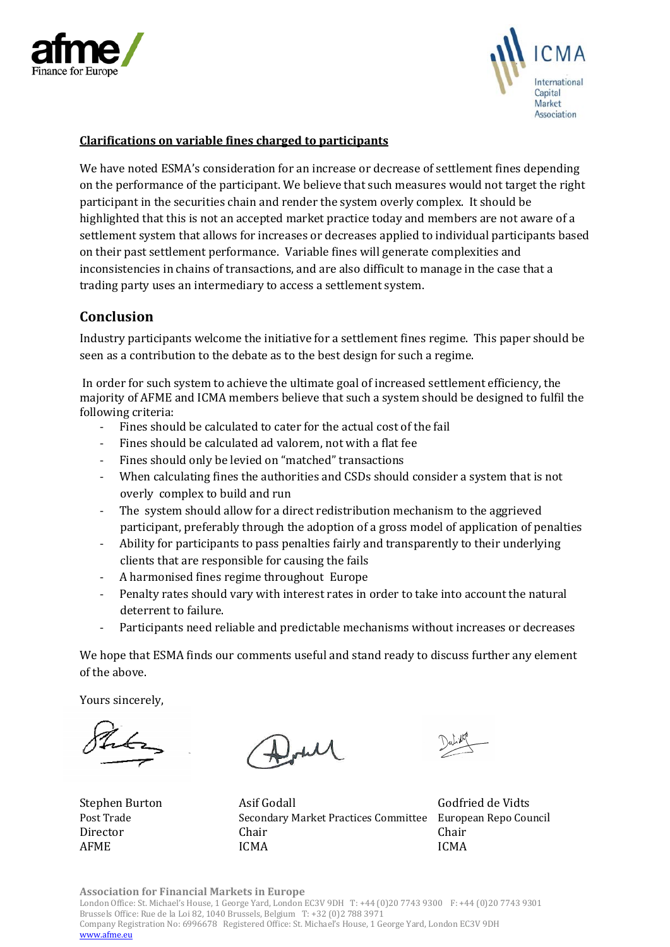



#### **Clarifications on variable fines charged to participants**

We have noted ESMA's consideration for an increase or decrease of settlement fines depending on the performance of the participant. We believe that such measures would not target the right participant in the securities chain and render the system overly complex. It should be highlighted that this is not an accepted market practice today and members are not aware of a settlement system that allows for increases or decreases applied to individual participants based on their past settlement performance. Variable fines will generate complexities and inconsistencies in chains of transactions, and are also difficult to manage in the case that a trading party uses an intermediary to access a settlement system.

### **Conclusion**

Industry participants welcome the initiative for a settlement fines regime. This paper should be seen as a contribution to the debate as to the best design for such a regime.

In order for such system to achieve the ultimate goal of increased settlement efficiency, the majority of AFME and ICMA members believe that such a system should be designed to fulfil the following criteria:

- Fines should be calculated to cater for the actual cost of the fail
- Fines should be calculated ad valorem, not with a flat fee
- Fines should only be levied on "matched" transactions
- When calculating fines the authorities and CSDs should consider a system that is not overly complex to build and run
- The system should allow for a direct redistribution mechanism to the aggrieved participant, preferably through the adoption of a gross model of application of penalties
- Ability for participants to pass penalties fairly and transparently to their underlying clients that are responsible for causing the fails
- A harmonised fines regime throughout Europe
- Penalty rates should vary with interest rates in order to take into account the natural deterrent to failure.
- Participants need reliable and predictable mechanisms without increases or decreases

We hope that ESMA finds our comments useful and stand ready to discuss further any element of the above.

Yours sincerely,

Stephen Burton Asif Godall Godfried de Vidts Post Trade Secondary Market Practices Committee European Repo Council<br>Director Chair Chair Director Chair Chair AFME ICMA ICMA